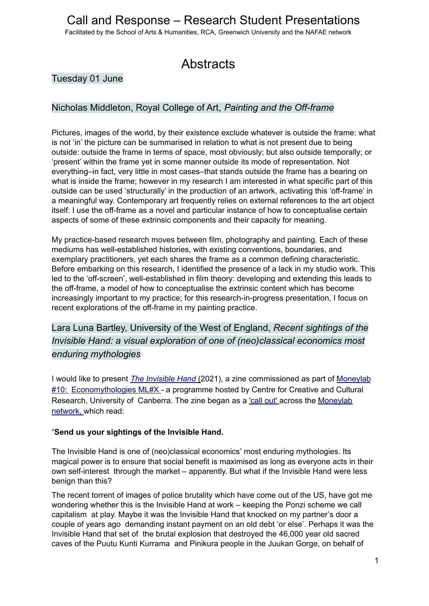Facilitated by the School of Arts & Humanities, RCA, Greenwich University and the NAFAE network

# **Abstracts**

### Tuesday 01 June

### Nicholas Middleton, Royal College of Art, *Painting and the Off-frame*

Pictures, images of the world, by their existence exclude whatever is outside the frame: what is not 'in' the picture can be summarised in relation to what is not present due to being outside: outside the frame in terms of space, most obviously; but also outside temporally; or 'present' within the frame yet in some manner outside its mode of representation. Not everything–in fact, very little in most cases–that stands outside the frame has a bearing on what is inside the frame; however in my research I am interested in what specific part of this outside can be used 'structurally' in the production of an artwork, activating this 'off-frame' in a meaningful way. Contemporary art frequently relies on external references to the art object itself: I use the off-frame as a novel and particular instance of how to conceptualise certain aspects of some of these extrinsic components and their capacity for meaning.

My practice-based research moves between film, photography and painting. Each of these mediums has well-established histories, with existing conventions, boundaries, and exemplary practitioners, yet each shares the frame as a common defining characteristic. Before embarking on this research, I identified the presence of a lack in my studio work. This led to the 'off-screen', well-established in film theory: developing and extending this leads to the off-frame, a model of how to conceptualise the extrinsic content which has become increasingly important to my practice; for this research-in-progress presentation, I focus on recent explorations of the off-frame in my painting practice.

Lara Luna Bartley, University of the West of England, *Recent sightings of the Invisible Hand: a visual exploration of one of (neo)classical economics most enduring mythologies*

I would like to present *The Invisible Hand* (2021), a zine commissioned as part of Moneylab #10: Economythologies ML#X - a programme hosted by Centre for Creative and Cultural Research, University of Canberra. The zine began as a 'call out' across the Moneylab network, which read:

#### "**Send us your sightings of the Invisible Hand.**

The Invisible Hand is one of (neo)classical economics' most enduring mythologies. Its magical power is to ensure that social benefit is maximised as long as everyone acts in their own self-interest through the market – apparently. But what if the Invisible Hand were less benign than this?

The recent torrent of images of police brutality which have come out of the US, have got me wondering whether this is the Invisible Hand at work – keeping the Ponzi scheme we call capitalism at play. Maybe it was the Invisible Hand that knocked on my partner's door a couple of years ago demanding instant payment on an old debt 'or else'. Perhaps it was the Invisible Hand that set of the brutal explosion that destroyed the 46,000 year old sacred caves of the Puutu Kunti Kurrama and Pinikura people in the Juukan Gorge, on behalf of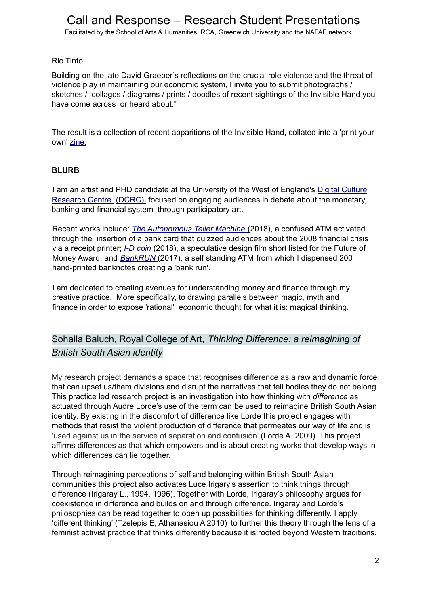Facilitated by the School of Arts & Humanities, RCA, Greenwich University and the NAFAE network

Rio Tinto.

Building on the late David Graeber's reflections on the crucial role violence and the threat of violence play in maintaining our economic system, I invite you to submit photographs / sketches / collages / diagrams / prints / doodles of recent sightings of the Invisible Hand you have come across or heard about."

The result is a collection of recent apparitions of the Invisible Hand, collated into a 'print your own' zine.

#### **BLURB**

I am an artist and PHD candidate at the University of the West of England's Digital Culture Research Centre (DCRC), focused on engaging audiences in debate about the monetary, banking and financial system through participatory art.

Recent works include: *The Autonomous Teller Machine* (2018), a confused ATM activated through the insertion of a bank card that quizzed audiences about the 2008 financial crisis via a receipt printer; *I-D coin* (2018), a speculative design film short listed for the Future of Money Award; and *BankRUN* (2017), a self standing ATM from which I dispensed 200 hand-printed banknotes creating a 'bank run'.

I am dedicated to creating avenues for understanding money and finance through my creative practice. More specifically, to drawing parallels between magic, myth and finance in order to expose 'rational' economic thought for what it is: magical thinking.

## Sohaila Baluch, Royal College of Art, *Thinking Difference: a reimagining of British South Asian identity*

My research project demands a space that recognises difference as a raw and dynamic force that can upset us/them divisions and disrupt the narratives that tell bodies they do not belong. This practice led research project is an investigation into how thinking with *difference* as actuated through Audre Lorde's use of the term can be used to reimagine British South Asian identity. By existing in the discomfort of difference like Lorde this project engages with methods that resist the violent production of difference that permeates our way of life and is 'used against us in the service of separation and confusion' (Lorde A. 2009). This project affirms differences as that which empowers and is about creating works that develop ways in which differences can lie together.

Through reimagining perceptions of self and belonging within British South Asian communities this project also activates Luce Irigary's assertion to think things through difference (Irigaray L., 1994, 1996). Together with Lorde, Irigaray's philosophy argues for coexistence in difference and builds on and through difference. Irigaray and Lorde's philosophies can be read together to open up possibilities for thinking differently. I apply 'different thinking' (Tzelepis E, Athanasiou A 2010) to further this theory through the lens of a feminist activist practice that thinks differently because it is rooted beyond Western traditions.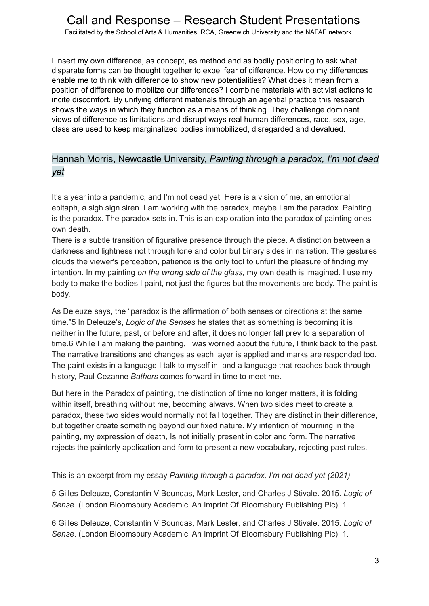Facilitated by the School of Arts & Humanities, RCA, Greenwich University and the NAFAE network

I insert my own difference, as concept, as method and as bodily positioning to ask what disparate forms can be thought together to expel fear of difference. How do my differences enable me to think with difference to show new potentialities? What does it mean from a position of difference to mobilize our differences? I combine materials with activist actions to incite discomfort. By unifying different materials through an agential practice this research shows the ways in which they function as a means of thinking. They challenge dominant views of difference as limitations and disrupt ways real human differences, race, sex, age, class are used to keep marginalized bodies immobilized, disregarded and devalued.

### Hannah Morris, Newcastle University, *Painting through a paradox, I'm not dead yet*

It's a year into a pandemic, and I'm not dead yet. Here is a vision of me, an emotional epitaph, a sigh sign siren. I am working with the paradox, maybe I am the paradox. Painting is the paradox. The paradox sets in. This is an exploration into the paradox of painting ones own death.

There is a subtle transition of figurative presence through the piece. A distinction between a darkness and lightness not through tone and color but binary sides in narration. The gestures clouds the viewer's perception, patience is the only tool to unfurl the pleasure of finding my intention. In my painting *on the wrong side of the glass,* my own death is imagined. I use my body to make the bodies I paint, not just the figures but the movements are body. The paint is body.

As Deleuze says, the "paradox is the affirmation of both senses or directions at the same time."5 In Deleuze's, *Logic of the Senses* he states that as something is becoming it is neither in the future, past, or before and after, it does no longer fall prey to a separation of time.6 While I am making the painting, I was worried about the future, I think back to the past. The narrative transitions and changes as each layer is applied and marks are responded too. The paint exists in a language I talk to myself in, and a language that reaches back through history, Paul Cezanne *Bathers* comes forward in time to meet me.

But here in the Paradox of painting, the distinction of time no longer matters, it is folding within itself, breathing without me, becoming always. When two sides meet to create a paradox, these two sides would normally not fall together. They are distinct in their difference, but together create something beyond our fixed nature. My intention of mourning in the painting, my expression of death, Is not initially present in color and form. The narrative rejects the painterly application and form to present a new vocabulary, rejecting past rules.

This is an excerpt from my essay *Painting through a paradox, I'm not dead yet (2021)*

5 Gilles Deleuze, Constantin V Boundas, Mark Lester, and Charles J Stivale. 2015. *Logic of Sense*. (London Bloomsbury Academic, An Imprint Of Bloomsbury Publishing Plc), 1.

6 Gilles Deleuze, Constantin V Boundas, Mark Lester, and Charles J Stivale. 2015. *Logic of Sense*. (London Bloomsbury Academic, An Imprint Of Bloomsbury Publishing Plc), 1.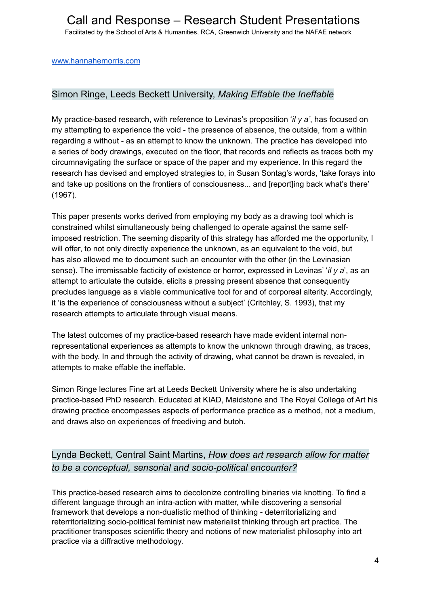#### [www.hannahemorris.com](http://www.hannahemorris.com/)

### Simon Ringe, Leeds Beckett University, *Making Effable the Ineffable*

My practice-based research, with reference to Levinas's proposition '*il y a'*, has focused on my attempting to experience the void - the presence of absence, the outside, from a within regarding a without - as an attempt to know the unknown. The practice has developed into a series of body drawings, executed on the floor, that records and reflects as traces both my circumnavigating the surface or space of the paper and my experience. In this regard the research has devised and employed strategies to, in Susan Sontag's words, 'take forays into and take up positions on the frontiers of consciousness... and [report]ing back what's there' (1967).

This paper presents works derived from employing my body as a drawing tool which is constrained whilst simultaneously being challenged to operate against the same selfimposed restriction. The seeming disparity of this strategy has afforded me the opportunity, I will offer, to not only directly experience the unknown, as an equivalent to the void, but has also allowed me to document such an encounter with the other (in the Levinasian sense). The irremissable facticity of existence or horror, expressed in Levinas' '*il y a*', as an attempt to articulate the outside, elicits a pressing present absence that consequently precludes language as a viable communicative tool for and of corporeal alterity. Accordingly, it 'is the experience of consciousness without a subject' (Critchley, S. 1993), that my research attempts to articulate through visual means.

The latest outcomes of my practice-based research have made evident internal nonrepresentational experiences as attempts to know the unknown through drawing, as traces, with the body. In and through the activity of drawing, what cannot be drawn is revealed, in attempts to make effable the ineffable.

Simon Ringe lectures Fine art at Leeds Beckett University where he is also undertaking practice-based PhD research. Educated at KIAD, Maidstone and The Royal College of Art his drawing practice encompasses aspects of performance practice as a method, not a medium, and draws also on experiences of freediving and butoh.

## Lynda Beckett, Central Saint Martins, *How does art research allow for matter to be a conceptual, sensorial and socio-political encounter?*

This practice-based research aims to decolonize controlling binaries via knotting. To find a different language through an intra-action with matter, while discovering a sensorial framework that develops a non-dualistic method of thinking - deterritorializing and reterritorializing socio-political feminist new materialist thinking through art practice. The practitioner transposes scientific theory and notions of new materialist philosophy into art practice via a diffractive methodology.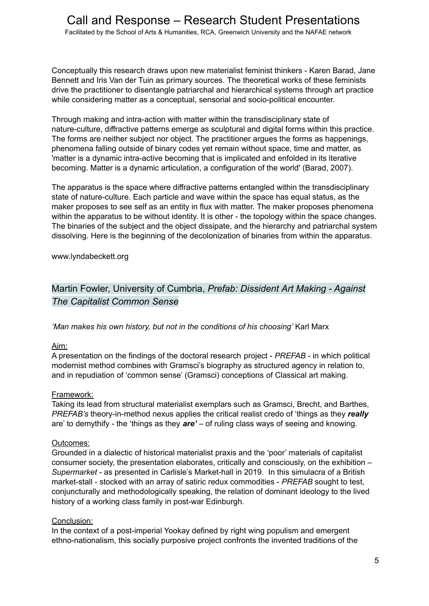Conceptually this research draws upon new materialist feminist thinkers - Karen Barad, Jane Bennett and Iris Van der Tuin as primary sources. The theoretical works of these feminists drive the practitioner to disentangle patriarchal and hierarchical systems through art practice while considering matter as a conceptual, sensorial and socio-political encounter.

Through making and intra-action with matter within the transdisciplinary state of nature-culture, diffractive patterns emerge as sculptural and digital forms within this practice. The forms are neither subject nor object. The practitioner argues the forms as happenings, phenomena falling outside of binary codes yet remain without space, time and matter, as 'matter is a dynamic intra-active becoming that is implicated and enfolded in its iterative becoming. Matter is a dynamic articulation, a configuration of the world' (Barad, 2007).

The apparatus is the space where diffractive patterns entangled within the transdisciplinary state of nature-culture. Each particle and wave within the space has equal status, as the maker proposes to see self as an entity in flux with matter. The maker proposes phenomena within the apparatus to be without identity. It is other - the topology within the space changes. The binaries of the subject and the object dissipate, and the hierarchy and patriarchal system dissolving. Here is the beginning of the decolonization of binaries from within the apparatus.

www.lyndabeckett.org

## Martin Fowler, University of Cumbria, *Prefab: Dissident Art Making - Against The Capitalist Common Sense*

*'Man makes his own history, but not in the conditions of his choosing'* Karl Marx

#### Aim:

A presentation on the findings of the doctoral research project - *PREFAB* - in which political modernist method combines with Gramsci's biography as structured agency in relation to, and in repudiation of 'common sense' (Gramsci) conceptions of Classical art making.

#### Framework:

Taking its lead from structural materialist exemplars such as Gramsci, Brecht, and Barthes, *PREFAB's* theory-in-method nexus applies the critical realist credo of 'things as they *really* are' to demythify - the 'things as they *are'* – of ruling class ways of seeing and knowing.

#### Outcomes:

Grounded in a dialectic of historical materialist praxis and the 'poor' materials of capitalist consumer society, the presentation elaborates, critically and consciously, on the exhibition – *Supermarket -* as presented in Carlisle's Market-hall in 2019. In this simulacra of a British market-stall - stocked with an array of satiric redux commodities - *PREFAB* sought to test, conjuncturally and methodologically speaking, the relation of dominant ideology to the lived history of a working class family in post-war Edinburgh.

#### Conclusion:

In the context of a post-imperial Yookay defined by right wing populism and emergent ethno-nationalism, this socially purposive project confronts the invented traditions of the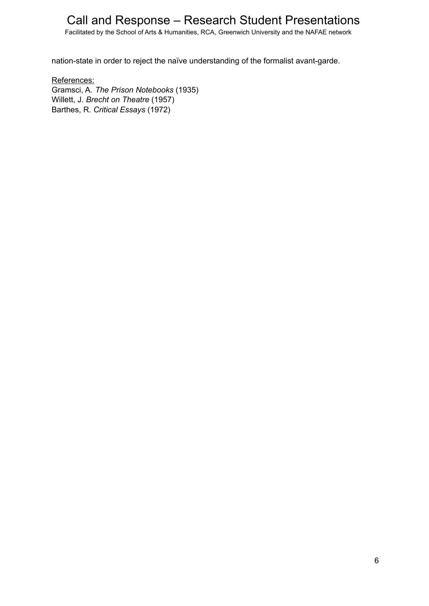Facilitated by the School of Arts & Humanities, RCA, Greenwich University and the NAFAE network

nation-state in order to reject the naïve understanding of the formalist avant-garde.

References: Gramsci, A. *The Prison Notebooks* (1935) Willett, J. *Brecht on Theatre* (1957) Barthes, R. *Critical Essays* (1972)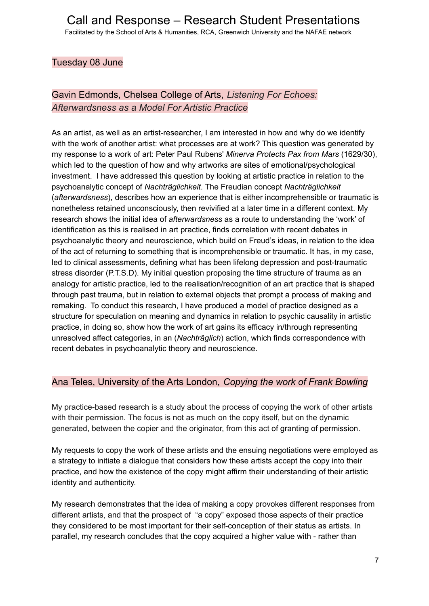### Tuesday 08 June

## Gavin Edmonds, Chelsea College of Arts, *Listening For Echoes: Afterwardsness as a Model For Artistic Practice*

As an artist, as well as an artist-researcher, I am interested in how and why do we identify with the work of another artist: what processes are at work? This question was generated by my response to a work of art: Peter Paul Rubens' *Minerva Protects Pax from Mars* (1629/30), which led to the question of how and why artworks are sites of emotional/psychological investment. I have addressed this question by looking at artistic practice in relation to the psychoanalytic concept of *Nachträglichkeit*. The Freudian concept *Nachträglichkeit* (*afterwardsness*), describes how an experience that is either incomprehensible or traumatic is nonetheless retained unconsciously, then revivified at a later time in a different context. My research shows the initial idea of *afterwardsness* as a route to understanding the 'work' of identification as this is realised in art practice, finds correlation with recent debates in psychoanalytic theory and neuroscience, which build on Freud's ideas, in relation to the idea of the act of returning to something that is incomprehensible or traumatic. It has, in my case, led to clinical assessments, defining what has been lifelong depression and post-traumatic stress disorder (P.T.S.D). My initial question proposing the time structure of trauma as an analogy for artistic practice, led to the realisation/recognition of an art practice that is shaped through past trauma, but in relation to external objects that prompt a process of making and remaking. To conduct this research, I have produced a model of practice designed as a structure for speculation on meaning and dynamics in relation to psychic causality in artistic practice, in doing so, show how the work of art gains its efficacy in/through representing unresolved affect categories, in an (*Nachträglich*) action, which finds correspondence with recent debates in psychoanalytic theory and neuroscience.

#### Ana Teles, University of the Arts London, *Copying the work of Frank Bowling*

My practice-based research is a study about the process of copying the work of other artists with their permission. The focus is not as much on the copy itself, but on the dynamic generated, between the copier and the originator, from this act of granting of permission.

My requests to copy the work of these artists and the ensuing negotiations were employed as a strategy to initiate a dialogue that considers how these artists accept the copy into their practice, and how the existence of the copy might affirm their understanding of their artistic identity and authenticity.

My research demonstrates that the idea of making a copy provokes different responses from different artists, and that the prospect of "a copy" exposed those aspects of their practice they considered to be most important for their self-conception of their status as artists. In parallel, my research concludes that the copy acquired a higher value with - rather than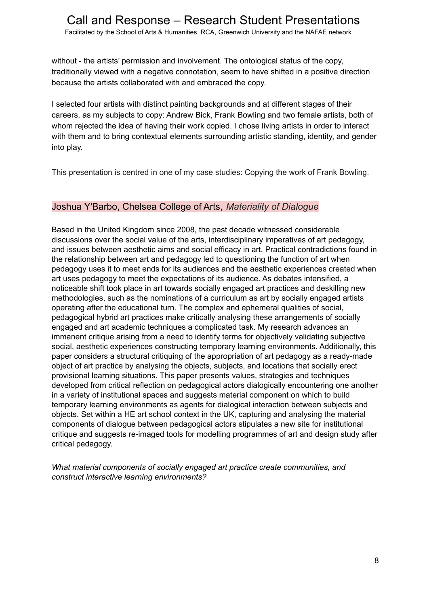Facilitated by the School of Arts & Humanities, RCA, Greenwich University and the NAFAE network

without - the artists' permission and involvement. The ontological status of the copy, traditionally viewed with a negative connotation, seem to have shifted in a positive direction because the artists collaborated with and embraced the copy.

I selected four artists with distinct painting backgrounds and at different stages of their careers, as my subjects to copy: Andrew Bick, Frank Bowling and two female artists, both of whom rejected the idea of having their work copied. I chose living artists in order to interact with them and to bring contextual elements surrounding artistic standing, identity, and gender into play.

This presentation is centred in one of my case studies: Copying the work of Frank Bowling.

#### Joshua Y'Barbo, Chelsea College of Arts, *Materiality of Dialogue*

Based in the United Kingdom since 2008, the past decade witnessed considerable discussions over the social value of the arts, interdisciplinary imperatives of art pedagogy, and issues between aesthetic aims and social efficacy in art. Practical contradictions found in the relationship between art and pedagogy led to questioning the function of art when pedagogy uses it to meet ends for its audiences and the aesthetic experiences created when art uses pedagogy to meet the expectations of its audience. As debates intensified, a noticeable shift took place in art towards socially engaged art practices and deskilling new methodologies, such as the nominations of a curriculum as art by socially engaged artists operating after the educational turn. The complex and ephemeral qualities of social, pedagogical hybrid art practices make critically analysing these arrangements of socially engaged and art academic techniques a complicated task. My research advances an immanent critique arising from a need to identify terms for objectively validating subjective social, aesthetic experiences constructing temporary learning environments. Additionally, this paper considers a structural critiquing of the appropriation of art pedagogy as a ready-made object of art practice by analysing the objects, subjects, and locations that socially erect provisional learning situations. This paper presents values, strategies and techniques developed from critical reflection on pedagogical actors dialogically encountering one another in a variety of institutional spaces and suggests material component on which to build temporary learning environments as agents for dialogical interaction between subjects and objects. Set within a HE art school context in the UK, capturing and analysing the material components of dialogue between pedagogical actors stipulates a new site for institutional critique and suggests re-imaged tools for modelling programmes of art and design study after critical pedagogy.

*What material components of socially engaged art practice create communities, and construct interactive learning environments?*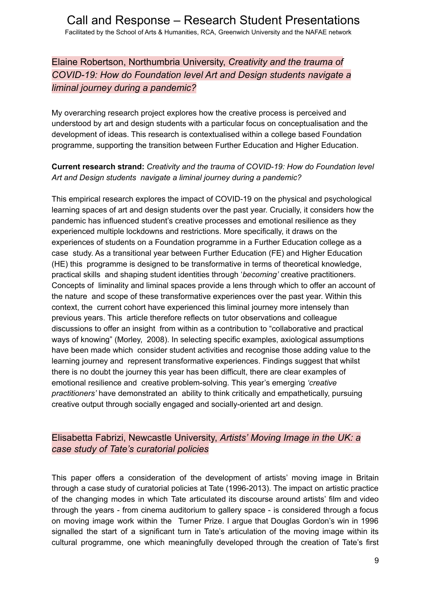Elaine Robertson, Northumbria University, *Creativity and the trauma of COVID-19: How do Foundation level Art and Design students navigate a liminal journey during a pandemic?*

My overarching research project explores how the creative process is perceived and understood by art and design students with a particular focus on conceptualisation and the development of ideas. This research is contextualised within a college based Foundation programme, supporting the transition between Further Education and Higher Education.

#### **Current research strand:** *Creativity and the trauma of COVID-19: How do Foundation level Art and Design students navigate a liminal journey during a pandemic?*

This empirical research explores the impact of COVID-19 on the physical and psychological learning spaces of art and design students over the past year. Crucially, it considers how the pandemic has influenced student's creative processes and emotional resilience as they experienced multiple lockdowns and restrictions. More specifically, it draws on the experiences of students on a Foundation programme in a Further Education college as a case study. As a transitional year between Further Education (FE) and Higher Education (HE) this programme is designed to be transformative in terms of theoretical knowledge, practical skills and shaping student identities through '*becoming'* creative practitioners. Concepts of liminality and liminal spaces provide a lens through which to offer an account of the nature and scope of these transformative experiences over the past year. Within this context, the current cohort have experienced this liminal journey more intensely than previous years. This article therefore reflects on tutor observations and colleague discussions to offer an insight from within as a contribution to "collaborative and practical ways of knowing" (Morley, 2008). In selecting specific examples, axiological assumptions have been made which consider student activities and recognise those adding value to the learning journey and represent transformative experiences. Findings suggest that whilst there is no doubt the journey this year has been difficult, there are clear examples of emotional resilience and creative problem-solving. This year's emerging *'creative practitioners'* have demonstrated an ability to think critically and empathetically, pursuing creative output through socially engaged and socially-oriented art and design.

### Elisabetta Fabrizi, Newcastle University, *Artists' Moving Image in the UK: a case study of Tate's curatorial policies*

This paper offers a consideration of the development of artists' moving image in Britain through a case study of curatorial policies at Tate (1996-2013). The impact on artistic practice of the changing modes in which Tate articulated its discourse around artists' film and video through the years - from cinema auditorium to gallery space - is considered through a focus on moving image work within the Turner Prize. I argue that Douglas Gordon's win in 1996 signalled the start of a significant turn in Tate's articulation of the moving image within its cultural programme, one which meaningfully developed through the creation of Tate's first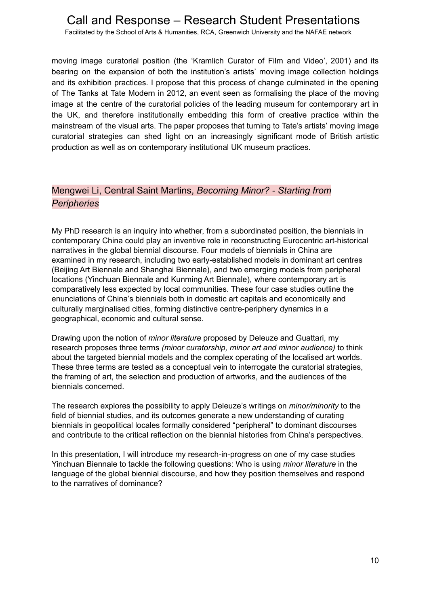Facilitated by the School of Arts & Humanities, RCA, Greenwich University and the NAFAE network

moving image curatorial position (the 'Kramlich Curator of Film and Video', 2001) and its bearing on the expansion of both the institution's artists' moving image collection holdings and its exhibition practices. I propose that this process of change culminated in the opening of The Tanks at Tate Modern in 2012, an event seen as formalising the place of the moving image at the centre of the curatorial policies of the leading museum for contemporary art in the UK, and therefore institutionally embedding this form of creative practice within the mainstream of the visual arts. The paper proposes that turning to Tate's artists' moving image curatorial strategies can shed light on an increasingly significant mode of British artistic production as well as on contemporary institutional UK museum practices.

### Mengwei Li, Central Saint Martins, *Becoming Minor? - Starting from Peripheries*

My PhD research is an inquiry into whether, from a subordinated position, the biennials in contemporary China could play an inventive role in reconstructing Eurocentric art-historical narratives in the global biennial discourse. Four models of biennials in China are examined in my research, including two early-established models in dominant art centres (Beijing Art Biennale and Shanghai Biennale), and two emerging models from peripheral locations (Yinchuan Biennale and Kunming Art Biennale), where contemporary art is comparatively less expected by local communities. These four case studies outline the enunciations of China's biennials both in domestic art capitals and economically and culturally marginalised cities, forming distinctive centre-periphery dynamics in a geographical, economic and cultural sense.

Drawing upon the notion of *minor literature* proposed by Deleuze and Guattari, my research proposes three terms *(minor curatorship, minor art and minor audience)* to think about the targeted biennial models and the complex operating of the localised art worlds. These three terms are tested as a conceptual vein to interrogate the curatorial strategies, the framing of art, the selection and production of artworks, and the audiences of the biennials concerned.

The research explores the possibility to apply Deleuze's writings on *minor/minority* to the field of biennial studies, and its outcomes generate a new understanding of curating biennials in geopolitical locales formally considered "peripheral" to dominant discourses and contribute to the critical reflection on the biennial histories from China's perspectives.

In this presentation, I will introduce my research-in-progress on one of my case studies Yinchuan Biennale to tackle the following questions: Who is using *minor literature* in the language of the global biennial discourse, and how they position themselves and respond to the narratives of dominance?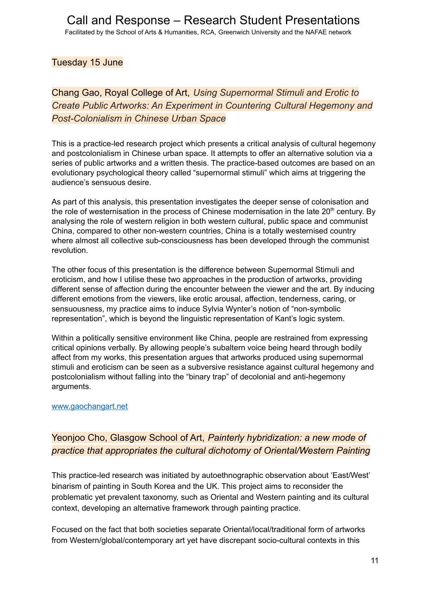Tuesday 15 June

Chang Gao, Royal College of Art, *Using Supernormal Stimuli and Erotic to Create Public Artworks: An Experiment in Countering Cultural Hegemony and Post-Colonialism in Chinese Urban Space*

This is a practice-led research project which presents a critical analysis of cultural hegemony and postcolonialism in Chinese urban space. It attempts to offer an alternative solution via a series of public artworks and a written thesis. The practice-based outcomes are based on an evolutionary psychological theory called "supernormal stimuli" which aims at triggering the audience's sensuous desire.

As part of this analysis, this presentation investigates the deeper sense of colonisation and the role of westernisation in the process of Chinese modernisation in the late  $20<sup>th</sup>$  century. By analysing the role of western religion in both western cultural, public space and communist China, compared to other non-western countries, China is a totally westernised country where almost all collective sub-consciousness has been developed through the communist revolution.

The other focus of this presentation is the difference between Supernormal Stimuli and eroticism, and how I utilise these two approaches in the production of artworks, providing different sense of affection during the encounter between the viewer and the art. By inducing different emotions from the viewers, like erotic arousal, affection, tenderness, caring, or sensuousness, my practice aims to induce Sylvia Wynter's notion of "non-symbolic representation", which is beyond the linguistic representation of Kant's logic system.

Within a politically sensitive environment like China, people are restrained from expressing critical opinions verbally. By allowing people's subaltern voice being heard through bodily affect from my works, this presentation argues that artworks produced using supernormal stimuli and eroticism can be seen as a subversive resistance against cultural hegemony and postcolonialism without falling into the "binary trap" of decolonial and anti-hegemony arguments.

#### [www.gaochangart.net](http://www.gaochangart.net)

## Yeonjoo Cho, Glasgow School of Art, *Painterly hybridization: a new mode of practice that appropriates the cultural dichotomy of Oriental/Western Painting*

This practice-led research was initiated by autoethnographic observation about 'East/West' binarism of painting in South Korea and the UK. This project aims to reconsider the problematic yet prevalent taxonomy, such as Oriental and Western painting and its cultural context, developing an alternative framework through painting practice.

Focused on the fact that both societies separate Oriental/local/traditional form of artworks from Western/global/contemporary art yet have discrepant socio-cultural contexts in this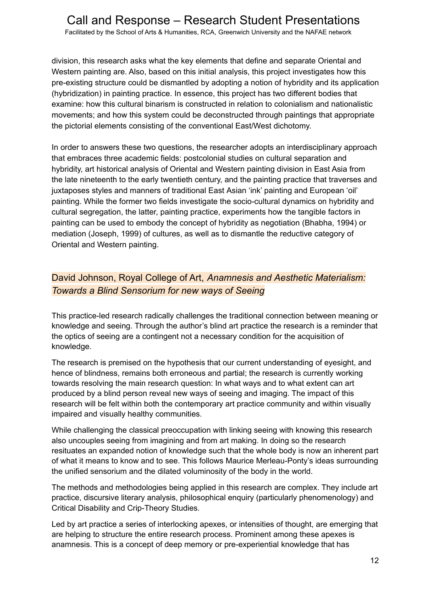Facilitated by the School of Arts & Humanities, RCA, Greenwich University and the NAFAE network

division, this research asks what the key elements that define and separate Oriental and Western painting are. Also, based on this initial analysis, this project investigates how this pre-existing structure could be dismantled by adopting a notion of hybridity and its application (hybridization) in painting practice. In essence, this project has two different bodies that examine: how this cultural binarism is constructed in relation to colonialism and nationalistic movements; and how this system could be deconstructed through paintings that appropriate the pictorial elements consisting of the conventional East/West dichotomy.

In order to answers these two questions, the researcher adopts an interdisciplinary approach that embraces three academic fields: postcolonial studies on cultural separation and hybridity, art historical analysis of Oriental and Western painting division in East Asia from the late nineteenth to the early twentieth century, and the painting practice that traverses and juxtaposes styles and manners of traditional East Asian 'ink' painting and European 'oil' painting. While the former two fields investigate the socio-cultural dynamics on hybridity and cultural segregation, the latter, painting practice, experiments how the tangible factors in painting can be used to embody the concept of hybridity as negotiation (Bhabha, 1994) or mediation (Joseph, 1999) of cultures, as well as to dismantle the reductive category of Oriental and Western painting.

## David Johnson, Royal College of Art, *Anamnesis and Aesthetic Materialism: Towards a Blind Sensorium for new ways of Seeing*

This practice-led research radically challenges the traditional connection between meaning or knowledge and seeing. Through the author's blind art practice the research is a reminder that the optics of seeing are a contingent not a necessary condition for the acquisition of knowledge.

The research is premised on the hypothesis that our current understanding of eyesight, and hence of blindness, remains both erroneous and partial; the research is currently working towards resolving the main research question: In what ways and to what extent can art produced by a blind person reveal new ways of seeing and imaging. The impact of this research will be felt within both the contemporary art practice community and within visually impaired and visually healthy communities.

While challenging the classical preoccupation with linking seeing with knowing this research also uncouples seeing from imagining and from art making. In doing so the research resituates an expanded notion of knowledge such that the whole body is now an inherent part of what it means to know and to see. This follows Maurice Merleau-Ponty's ideas surrounding the unified sensorium and the dilated voluminosity of the body in the world.

The methods and methodologies being applied in this research are complex. They include art practice, discursive literary analysis, philosophical enquiry (particularly phenomenology) and Critical Disability and Crip-Theory Studies.

Led by art practice a series of interlocking apexes, or intensities of thought, are emerging that are helping to structure the entire research process. Prominent among these apexes is anamnesis. This is a concept of deep memory or pre-experiential knowledge that has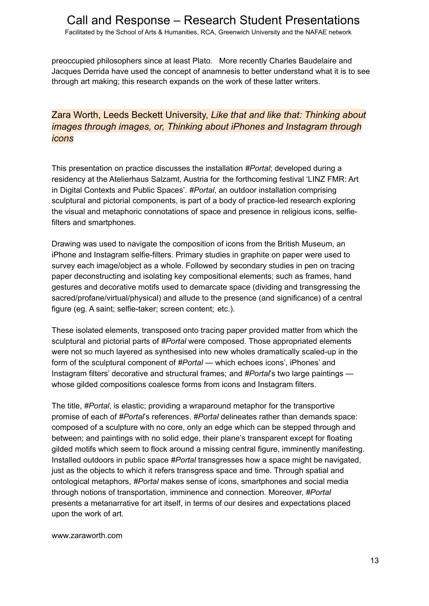preoccupied philosophers since at least Plato. More recently Charles Baudelaire and Jacques Derrida have used the concept of anamnesis to better understand what it is to see through art making; this research expands on the work of these latter writers.

### Zara Worth, Leeds Beckett University, *Like that and like that: Thinking about images through images, or, Thinking about iPhones and Instagram through icons*

This presentation on practice discusses the installation *#Portal*; developed during a residency at the Atelierhaus Salzamt, Austria for the forthcoming festival 'LINZ FMR: Art in Digital Contexts and Public Spaces'. *#Portal*, an outdoor installation comprising sculptural and pictorial components, is part of a body of practice-led research exploring the visual and metaphoric connotations of space and presence in religious icons, selfiefilters and smartphones.

Drawing was used to navigate the composition of icons from the British Museum, an iPhone and Instagram selfie-filters. Primary studies in graphite on paper were used to survey each image/object as a whole. Followed by secondary studies in pen on tracing paper deconstructing and isolating key compositional elements; such as frames, hand gestures and decorative motifs used to demarcate space (dividing and transgressing the sacred/profane/virtual/physical) and allude to the presence (and significance) of a central figure (eg. A saint; selfie-taker; screen content; etc.).

These isolated elements, transposed onto tracing paper provided matter from which the sculptural and pictorial parts of *#Portal* were composed. Those appropriated elements were not so much layered as synthesised into new wholes dramatically scaled-up in the form of the sculptural component of *#Portal* — which echoes icons', iPhones' and Instagram filters' decorative and structural frames; and *#Portal*'s two large paintings whose gilded compositions coalesce forms from icons and Instagram filters.

The title, *#Portal*, is elastic; providing a wraparound metaphor for the transportive promise of each of *#Portal*'s references. *#Portal* delineates rather than demands space: composed of a sculpture with no core, only an edge which can be stepped through and between; and paintings with no solid edge, their plane's transparent except for floating gilded motifs which seem to flock around a missing central figure, imminently manifesting. Installed outdoors in public space *#Portal* transgresses how a space might be navigated, just as the objects to which it refers transgress space and time. Through spatial and ontological metaphors, *#Portal* makes sense of icons, smartphones and social media through notions of transportation, imminence and connection. Moreover, *#Portal* presents a metanarrative for art itself, in terms of our desires and expectations placed upon the work of art.

www.zaraworth.com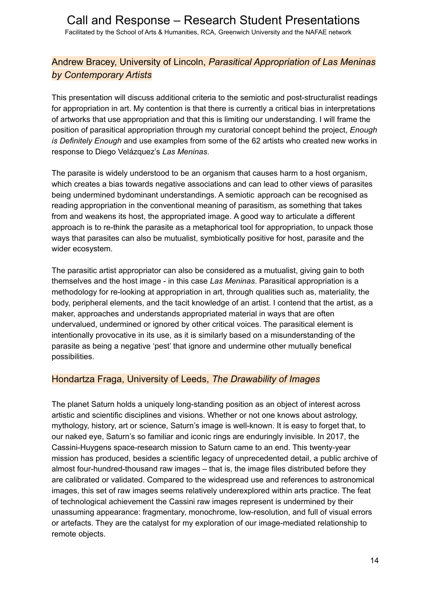## Andrew Bracey, University of Lincoln, *Parasitical Appropriation of Las Meninas by Contemporary Artists*

This presentation will discuss additional criteria to the semiotic and post-structuralist readings for appropriation in art. My contention is that there is currently a critical bias in interpretations of artworks that use appropriation and that this is limiting our understanding. I will frame the position of parasitical appropriation through my curatorial concept behind the project, *Enough is Definitely Enough* and use examples from some of the 62 artists who created new works in response to Diego Velázquez's *Las Meninas*.

The parasite is widely understood to be an organism that causes harm to a host organism, which creates a bias towards negative associations and can lead to other views of parasites being undermined bydominant understandings. A semiotic approach can be recognised as reading appropriation in the conventional meaning of parasitism, as something that takes from and weakens its host, the appropriated image. A good way to articulate a different approach is to re-think the parasite as a metaphorical tool for appropriation, to unpack those ways that parasites can also be mutualist, symbiotically positive for host, parasite and the wider ecosystem.

The parasitic artist appropriator can also be considered as a mutualist, giving gain to both themselves and the host image - in this case *Las Meninas*. Parasitical appropriation is a methodology for re-looking at appropriation in art, through qualities such as, materiality, the body, peripheral elements, and the tacit knowledge of an artist. I contend that the artist, as a maker, approaches and understands appropriated material in ways that are often undervalued, undermined or ignored by other critical voices. The parasitical element is intentionally provocative in its use, as it is similarly based on a misunderstanding of the parasite as being a negative 'pest' that ignore and undermine other mutually benefical possibilities.

#### Hondartza Fraga, University of Leeds, *The Drawability of Images*

The planet Saturn holds a uniquely long-standing position as an object of interest across artistic and scientific disciplines and visions. Whether or not one knows about astrology, mythology, history, art or science, Saturn's image is well-known. It is easy to forget that, to our naked eye, Saturn's so familiar and iconic rings are enduringly invisible. In 2017, the Cassini-Huygens space-research mission to Saturn came to an end. This twenty-year mission has produced, besides a scientific legacy of unprecedented detail, a public archive of almost four-hundred-thousand raw images – that is, the image files distributed before they are calibrated or validated. Compared to the widespread use and references to astronomical images, this set of raw images seems relatively underexplored within arts practice. The feat of technological achievement the Cassini raw images represent is undermined by their unassuming appearance: fragmentary, monochrome, low-resolution, and full of visual errors or artefacts. They are the catalyst for my exploration of our image-mediated relationship to remote objects.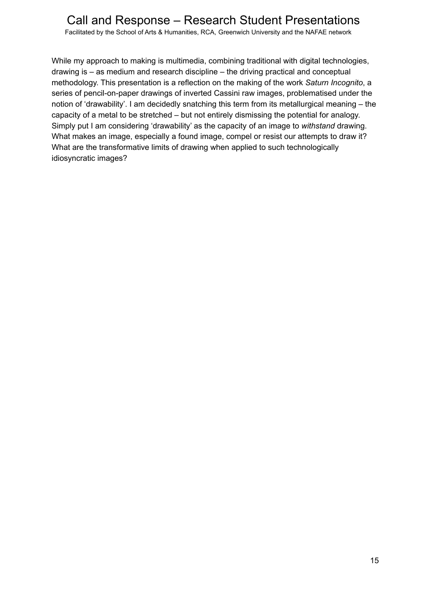Facilitated by the School of Arts & Humanities, RCA, Greenwich University and the NAFAE network

While my approach to making is multimedia, combining traditional with digital technologies, drawing is – as medium and research discipline – the driving practical and conceptual methodology. This presentation is a reflection on the making of the work *Saturn Incognito*, a series of pencil-on-paper drawings of inverted Cassini raw images, problematised under the notion of 'drawability'. I am decidedly snatching this term from its metallurgical meaning – the capacity of a metal to be stretched – but not entirely dismissing the potential for analogy. Simply put I am considering 'drawability' as the capacity of an image to *withstand* drawing. What makes an image, especially a found image, compel or resist our attempts to draw it? What are the transformative limits of drawing when applied to such technologically idiosyncratic images?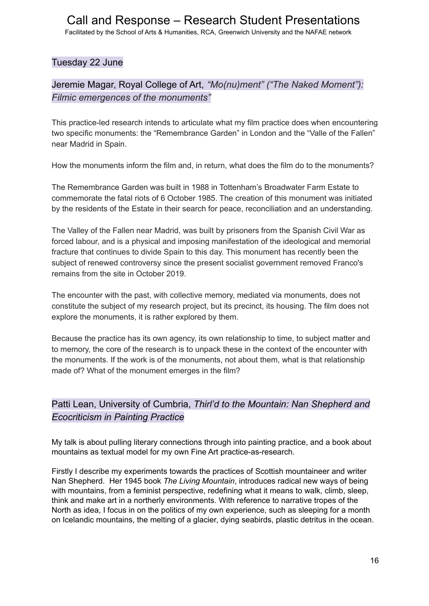Facilitated by the School of Arts & Humanities, RCA, Greenwich University and the NAFAE network

#### Tuesday 22 June

## Jeremie Magar, Royal College of Art, *"Mo(nu)ment" ("The Naked Moment"): Filmic emergences of the monuments"*

This practice-led research intends to articulate what my film practice does when encountering two specific monuments: the "Remembrance Garden" in London and the "Valle of the Fallen" near Madrid in Spain.

How the monuments inform the film and, in return, what does the film do to the monuments?

The Remembrance Garden was built in 1988 in Tottenham's Broadwater Farm Estate to commemorate the fatal riots of 6 October 1985. The creation of this monument was initiated by the residents of the Estate in their search for peace, reconciliation and an understanding.

The Valley of the Fallen near Madrid, was built by prisoners from the Spanish Civil War as forced labour, and is a physical and imposing manifestation of the ideological and memorial fracture that continues to divide Spain to this day. This monument has recently been the subject of renewed controversy since the present socialist government removed Franco's remains from the site in October 2019.

The encounter with the past, with collective memory, mediated via monuments, does not constitute the subject of my research project, but its precinct, its housing. The film does not explore the monuments, it is rather explored by them.

Because the practice has its own agency, its own relationship to time, to subject matter and to memory, the core of the research is to unpack these in the context of the encounter with the monuments. If the work is of the monuments, not about them, what is that relationship made of? What of the monument emerges in the film?

## Patti Lean, University of Cumbria, *Thirl'd to the Mountain: Nan Shepherd and Ecocriticism in Painting Practice*

My talk is about pulling literary connections through into painting practice, and a book about mountains as textual model for my own Fine Art practice-as-research.

Firstly I describe my experiments towards the practices of Scottish mountaineer and writer Nan Shepherd. Her 1945 book *The Living Mountain*, introduces radical new ways of being with mountains, from a feminist perspective, redefining what it means to walk, climb, sleep, think and make art in a northerly environments. With reference to narrative tropes of the North as idea, I focus in on the politics of my own experience, such as sleeping for a month on Icelandic mountains, the melting of a glacier, dying seabirds, plastic detritus in the ocean.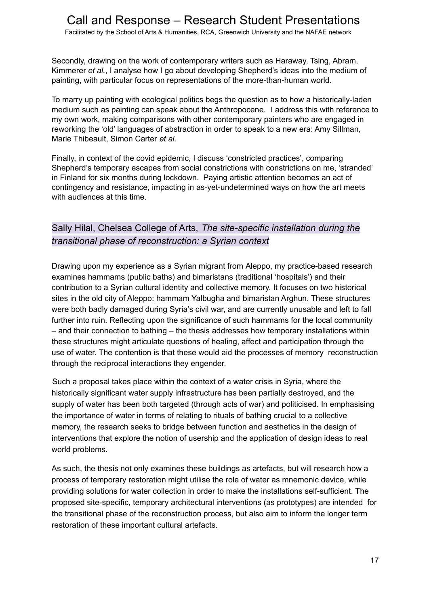Secondly, drawing on the work of contemporary writers such as Haraway, Tsing, Abram, Kimmerer *et al.*, I analyse how I go about developing Shepherd's ideas into the medium of painting, with particular focus on representations of the more-than-human world.

To marry up painting with ecological politics begs the question as to how a historically-laden medium such as painting can speak about the Anthropocene. I address this with reference to my own work, making comparisons with other contemporary painters who are engaged in reworking the 'old' languages of abstraction in order to speak to a new era: Amy Sillman, Marie Thibeault, Simon Carter *et al.*

Finally, in context of the covid epidemic, I discuss 'constricted practices', comparing Shepherd's temporary escapes from social constrictions with constrictions on me, 'stranded' in Finland for six months during lockdown. Paying artistic attention becomes an act of contingency and resistance, impacting in as-yet-undetermined ways on how the art meets with audiences at this time.

## Sally Hilal, Chelsea College of Arts, *The site-specific installation during the transitional phase of reconstruction: a Syrian context*

Drawing upon my experience as a Syrian migrant from Aleppo, my practice-based research examines hammams (public baths) and bimaristans (traditional 'hospitals') and their contribution to a Syrian cultural identity and collective memory. It focuses on two historical sites in the old city of Aleppo: hammam Yalbugha and bimaristan Arghun. These structures were both badly damaged during Syria's civil war, and are currently unusable and left to fall further into ruin. Reflecting upon the significance of such hammams for the local community – and their connection to bathing – the thesis addresses how temporary installations within these structures might articulate questions of healing, affect and participation through the use of water. The contention is that these would aid the processes of memory reconstruction through the reciprocal interactions they engender.

Such a proposal takes place within the context of a water crisis in Syria, where the historically significant water supply infrastructure has been partially destroyed, and the supply of water has been both targeted (through acts of war) and politicised. In emphasising the importance of water in terms of relating to rituals of bathing crucial to a collective memory, the research seeks to bridge between function and aesthetics in the design of interventions that explore the notion of usership and the application of design ideas to real world problems.

As such, the thesis not only examines these buildings as artefacts, but will research how a process of temporary restoration might utilise the role of water as mnemonic device, while providing solutions for water collection in order to make the installations self-sufficient. The proposed site-specific, temporary architectural interventions (as prototypes) are intended for the transitional phase of the reconstruction process, but also aim to inform the longer term restoration of these important cultural artefacts.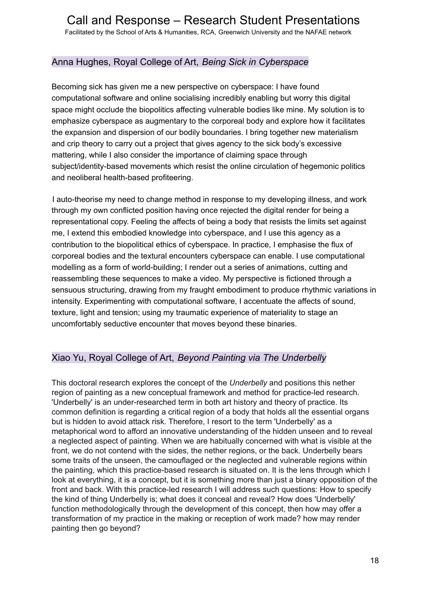Facilitated by the School of Arts & Humanities, RCA, Greenwich University and the NAFAE network

### Anna Hughes, Royal College of Art, *Being Sick in Cyberspace*

Becoming sick has given me a new perspective on cyberspace: I have found computational software and online socialising incredibly enabling but worry this digital space might occlude the biopolitics affecting vulnerable bodies like mine. My solution is to emphasize cyberspace as augmentary to the corporeal body and explore how it facilitates the expansion and dispersion of our bodily boundaries. I bring together new materialism and crip theory to carry out a project that gives agency to the sick body's excessive mattering, while I also consider the importance of claiming space through subject/identity-based movements which resist the online circulation of hegemonic politics and neoliberal health-based profiteering.

I auto-theorise my need to change method in response to my developing illness, and work through my own conflicted position having once rejected the digital render for being a representational copy. Feeling the affects of being a body that resists the limits set against me, I extend this embodied knowledge into cyberspace, and I use this agency as a contribution to the biopolitical ethics of cyberspace. In practice, I emphasise the flux of corporeal bodies and the textural encounters cyberspace can enable. I use computational modelling as a form of world-building; I render out a series of animations, cutting and reassembling these sequences to make a video. My perspective is fictioned through a sensuous structuring, drawing from my fraught embodiment to produce rhythmic variations in intensity. Experimenting with computational software, I accentuate the affects of sound, texture, light and tension; using my traumatic experience of materiality to stage an uncomfortably seductive encounter that moves beyond these binaries.

#### Xiao Yu, Royal College of Art, *Beyond Painting via The Underbelly*

This doctoral research explores the concept of the *Underbelly* and positions this nether region of painting as a new conceptual framework and method for practice-led research. 'Underbelly' is an under-researched term in both art history and theory of practice. Its common definition is regarding a critical region of a body that holds all the essential organs but is hidden to avoid attack risk. Therefore, I resort to the term 'Underbelly' as a metaphorical word to afford an innovative understanding of the hidden unseen and to reveal a neglected aspect of painting. When we are habitually concerned with what is visible at the front, we do not contend with the sides, the nether regions, or the back. Underbelly bears some traits of the unseen, the camouflaged or the neglected and vulnerable regions within the painting, which this practice-based research is situated on. It is the lens through which I look at everything, it is a concept, but it is something more than just a binary opposition of the front and back. With this practice-led research I will address such questions: How to specify the kind of thing Underbelly is; what does it conceal and reveal? How does 'Underbelly' function methodologically through the development of this concept, then how may offer a transformation of my practice in the making or reception of work made? how may render painting then go beyond?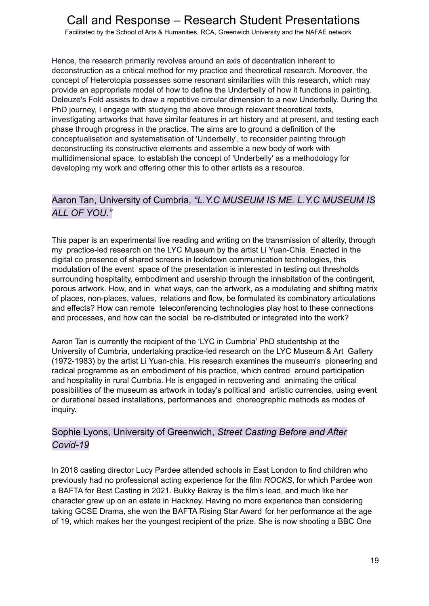Facilitated by the School of Arts & Humanities, RCA, Greenwich University and the NAFAE network

Hence, the research primarily revolves around an axis of decentration inherent to deconstruction as a critical method for my practice and theoretical research. Moreover, the concept of Heterotopia possesses some resonant similarities with this research, which may provide an appropriate model of how to define the Underbelly of how it functions in painting. Deleuze's Fold assists to draw a repetitive circular dimension to a new Underbelly. During the PhD journey, I engage with studying the above through relevant theoretical texts, investigating artworks that have similar features in art history and at present, and testing each phase through progress in the practice. The aims are to ground a definition of the conceptualisation and systematisation of 'Underbelly', to reconsider painting through deconstructing its constructive elements and assemble a new body of work with multidimensional space, to establish the concept of 'Underbelly' as a methodology for developing my work and offering other this to other artists as a resource.

## Aaron Tan, University of Cumbria, *"L.Y.C MUSEUM IS ME. L.Y.C MUSEUM IS ALL OF YOU."*

This paper is an experimental live reading and writing on the transmission of alterity, through my practice-led research on the LYC Museum by the artist Li Yuan-Chia. Enacted in the digital co presence of shared screens in lockdown communication technologies, this modulation of the event space of the presentation is interested in testing out thresholds surrounding hospitality, embodiment and usership through the inhabitation of the contingent, porous artwork. How, and in what ways, can the artwork, as a modulating and shifting matrix of places, non-places, values, relations and flow, be formulated its combinatory articulations and effects? How can remote teleconferencing technologies play host to these connections and processes, and how can the social be re-distributed or integrated into the work?

Aaron Tan is currently the recipient of the 'LYC in Cumbria' PhD studentship at the University of Cumbria, undertaking practice-led research on the LYC Museum & Art Gallery (1972-1983) by the artist Li Yuan-chia. His research examines the museum's pioneering and radical programme as an embodiment of his practice, which centred around participation and hospitality in rural Cumbria. He is engaged in recovering and animating the critical possibilities of the museum as artwork in today's political and artistic currencies, using event or durational based installations, performances and choreographic methods as modes of inquiry.

## Sophie Lyons, University of Greenwich, *Street Casting Before and After Covid-19*

In 2018 casting director Lucy Pardee attended schools in East London to find children who previously had no professional acting experience for the film *ROCKS*, for which Pardee won a BAFTA for Best Casting in 2021. Bukky Bakray is the film's lead, and much like her character grew up on an estate in Hackney. Having no more experience than considering taking GCSE Drama, she won the BAFTA Rising Star Award for her performance at the age of 19, which makes her the youngest recipient of the prize. She is now shooting a BBC One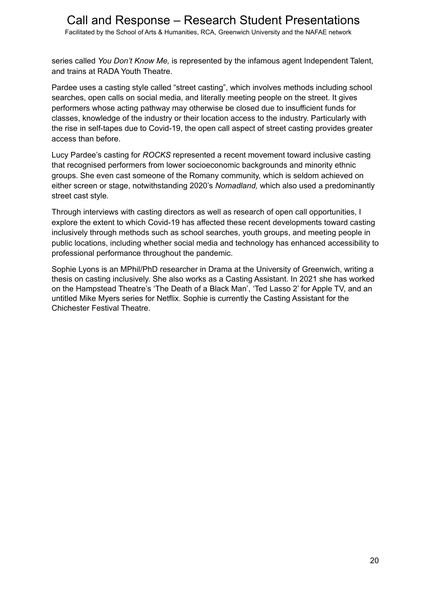Facilitated by the School of Arts & Humanities, RCA, Greenwich University and the NAFAE network

series called *You Don't Know Me,* is represented by the infamous agent Independent Talent, and trains at RADA Youth Theatre.

Pardee uses a casting style called "street casting", which involves methods including school searches, open calls on social media, and literally meeting people on the street. It gives performers whose acting pathway may otherwise be closed due to insufficient funds for classes, knowledge of the industry or their location access to the industry. Particularly with the rise in self-tapes due to Covid-19, the open call aspect of street casting provides greater access than before.

Lucy Pardee's casting for *ROCKS* represented a recent movement toward inclusive casting that recognised performers from lower socioeconomic backgrounds and minority ethnic groups. She even cast someone of the Romany community, which is seldom achieved on either screen or stage, notwithstanding 2020's *Nomadland,* which also used a predominantly street cast style*.*

Through interviews with casting directors as well as research of open call opportunities, I explore the extent to which Covid-19 has affected these recent developments toward casting inclusively through methods such as school searches, youth groups, and meeting people in public locations, including whether social media and technology has enhanced accessibility to professional performance throughout the pandemic.

Sophie Lyons is an MPhil/PhD researcher in Drama at the University of Greenwich, writing a thesis on casting inclusively. She also works as a Casting Assistant. In 2021 she has worked on the Hampstead Theatre's 'The Death of a Black Man', 'Ted Lasso 2' for Apple TV, and an untitled Mike Myers series for Netflix. Sophie is currently the Casting Assistant for the Chichester Festival Theatre.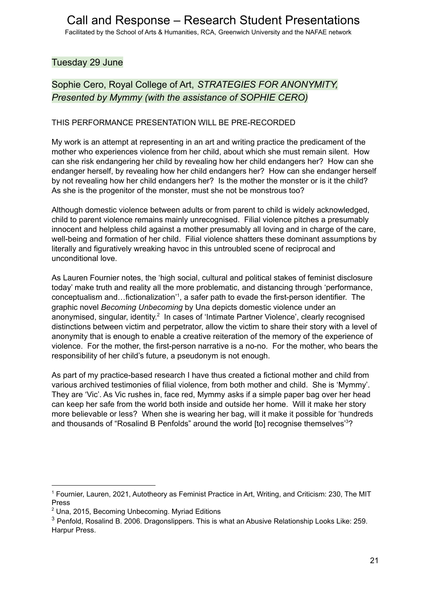### Tuesday 29 June

## Sophie Cero, Royal College of Art, *STRATEGIES FOR ANONYMITY, Presented by Mymmy (with the assistance of SOPHIE CERO)*

#### THIS PERFORMANCE PRESENTATION WILL BE PRE-RECORDED

My work is an attempt at representing in an art and writing practice the predicament of the mother who experiences violence from her child, about which she must remain silent. How can she risk endangering her child by revealing how her child endangers her? How can she endanger herself, by revealing how her child endangers her? How can she endanger herself by not revealing how her child endangers her? Is the mother the monster or is it the child? As she is the progenitor of the monster, must she not be monstrous too?

Although domestic violence between adults or from parent to child is widely acknowledged, child to parent violence remains mainly unrecognised. Filial violence pitches a presumably innocent and helpless child against a mother presumably all loving and in charge of the care, well-being and formation of her child. Filial violence shatters these dominant assumptions by literally and figuratively wreaking havoc in this untroubled scene of reciprocal and unconditional love.

As Lauren Fournier notes, the 'high social, cultural and political stakes of feminist disclosure today' make truth and reality all the more problematic, and distancing through 'performance, conceptualism and...fictionalization'<sup>1</sup>, a safer path to evade the first-person identifier. The graphic novel *Becoming Unbecoming* by Una depicts domestic violence under an anonymised, singular, identity.<sup>2</sup> In cases of 'Intimate Partner Violence', clearly recognised distinctions between victim and perpetrator, allow the victim to share their story with a level of anonymity that is enough to enable a creative reiteration of the memory of the experience of violence. For the mother, the first-person narrative is a no-no. For the mother, who bears the responsibility of her child's future, a pseudonym is not enough.

As part of my practice-based research I have thus created a fictional mother and child from various archived testimonies of filial violence, from both mother and child. She is 'Mymmy'. They are 'Vic'. As Vic rushes in, face red, Mymmy asks if a simple paper bag over her head can keep her safe from the world both inside and outside her home. Will it make her story more believable or less? When she is wearing her bag, will it make it possible for 'hundreds and thousands of "Rosalind B Penfolds" around the world [to] recognise themselves<sup>3</sup>?

<sup>1</sup> Fournier, Lauren, 2021, Autotheory as Feminist Practice in Art, Writing, and Criticism: 230, The MIT Press

<sup>&</sup>lt;sup>2</sup> Una, 2015, Becoming Unbecoming. Myriad Editions

<sup>&</sup>lt;sup>3</sup> Penfold, Rosalind B. 2006. Dragonslippers. This is what an Abusive Relationship Looks Like: 259. Harpur Press.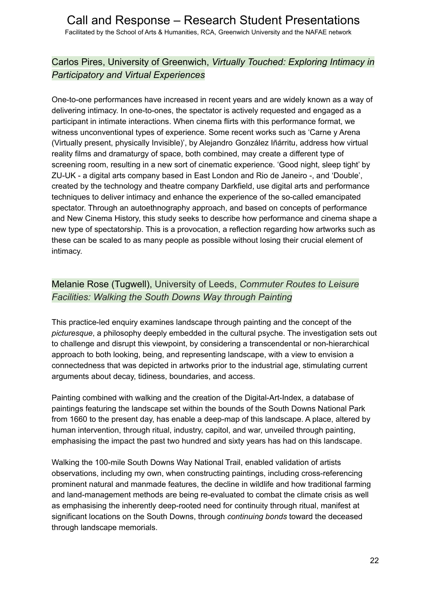Facilitated by the School of Arts & Humanities, RCA, Greenwich University and the NAFAE network

## Carlos Pires, University of Greenwich, *Virtually Touched: Exploring Intimacy in Participatory and Virtual Experiences*

One-to-one performances have increased in recent years and are widely known as a way of delivering intimacy. In one-to-ones, the spectator is actively requested and engaged as a participant in intimate interactions. When cinema flirts with this performance format, we witness unconventional types of experience. Some recent works such as 'Carne y Arena (Virtually present, physically Invisible)', by Alejandro González Iñárritu, address how virtual reality films and dramaturgy of space, both combined, may create a different type of screening room, resulting in a new sort of cinematic experience. 'Good night, sleep tight' by ZU-UK - a digital arts company based in East London and Rio de Janeiro -, and 'Double', created by the technology and theatre company Darkfield, use digital arts and performance techniques to deliver intimacy and enhance the experience of the so-called emancipated spectator. Through an autoethnography approach, and based on concepts of performance and New Cinema History, this study seeks to describe how performance and cinema shape a new type of spectatorship. This is a provocation, a reflection regarding how artworks such as these can be scaled to as many people as possible without losing their crucial element of intimacy.

## Melanie Rose (Tugwell), University of Leeds, *Commuter Routes to Leisure Facilities: Walking the South Downs Way through Painting*

This practice-led enquiry examines landscape through painting and the concept of the *picturesque*, a philosophy deeply embedded in the cultural psyche. The investigation sets out to challenge and disrupt this viewpoint, by considering a transcendental or non-hierarchical approach to both looking, being, and representing landscape, with a view to envision a connectedness that was depicted in artworks prior to the industrial age, stimulating current arguments about decay, tidiness, boundaries, and access.

Painting combined with walking and the creation of the Digital-Art-Index, a database of paintings featuring the landscape set within the bounds of the South Downs National Park from 1660 to the present day, has enable a deep-map of this landscape. A place, altered by human intervention, through ritual, industry, capitol, and war, unveiled through painting, emphasising the impact the past two hundred and sixty years has had on this landscape.

Walking the 100-mile South Downs Way National Trail, enabled validation of artists observations, including my own, when constructing paintings, including cross-referencing prominent natural and manmade features, the decline in wildlife and how traditional farming and land-management methods are being re-evaluated to combat the climate crisis as well as emphasising the inherently deep-rooted need for continuity through ritual, manifest at significant locations on the South Downs, through *continuing bonds* toward the deceased through landscape memorials.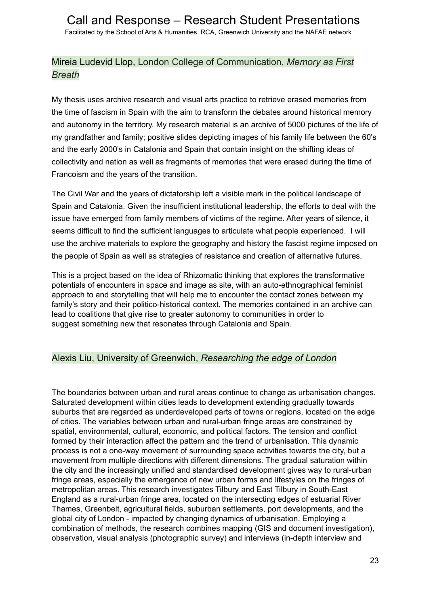## Mireia Ludevid Llop, London College of Communication, *Memory as First Breath*

My thesis uses archive research and visual arts practice to retrieve erased memories from the time of fascism in Spain with the aim to transform the debates around historical memory and autonomy in the territory. My research material is an archive of 5000 pictures of the life of my grandfather and family; positive slides depicting images of his family life between the 60's and the early 2000's in Catalonia and Spain that contain insight on the shifting ideas of collectivity and nation as well as fragments of memories that were erased during the time of Francoism and the years of the transition.

The Civil War and the years of dictatorship left a visible mark in the political landscape of Spain and Catalonia. Given the insufficient institutional leadership, the efforts to deal with the issue have emerged from family members of victims of the regime. After years of silence, it seems difficult to find the sufficient languages to articulate what people experienced. I will use the archive materials to explore the geography and history the fascist regime imposed on the people of Spain as well as strategies of resistance and creation of alternative futures.

This is a project based on the idea of Rhizomatic thinking that explores the transformative potentials of encounters in space and image as site, with an auto-ethnographical feminist approach to and storytelling that will help me to encounter the contact zones between my family's story and their politico-historical context. The memories contained in an archive can lead to coalitions that give rise to greater autonomy to communities in order to suggest something new that resonates through Catalonia and Spain.

#### Alexis Liu, University of Greenwich, *Researching the edge of London*

The boundaries between urban and rural areas continue to change as urbanisation changes. Saturated development within cities leads to development extending gradually towards suburbs that are regarded as underdeveloped parts of towns or regions, located on the edge of cities. The variables between urban and rural-urban fringe areas are constrained by spatial, environmental, cultural, economic, and political factors. The tension and conflict formed by their interaction affect the pattern and the trend of urbanisation. This dynamic process is not a one-way movement of surrounding space activities towards the city, but a movement from multiple directions with different dimensions. The gradual saturation within the city and the increasingly unified and standardised development gives way to rural-urban fringe areas, especially the emergence of new urban forms and lifestyles on the fringes of metropolitan areas. This research investigates Tilbury and East Tilbury in South-East England as a rural-urban fringe area, located on the intersecting edges of estuarial River Thames, Greenbelt, agricultural fields, suburban settlements, port developments, and the global city of London - impacted by changing dynamics of urbanisation. Employing a combination of methods, the research combines mapping (GIS and document investigation), observation, visual analysis (photographic survey) and interviews (in-depth interview and